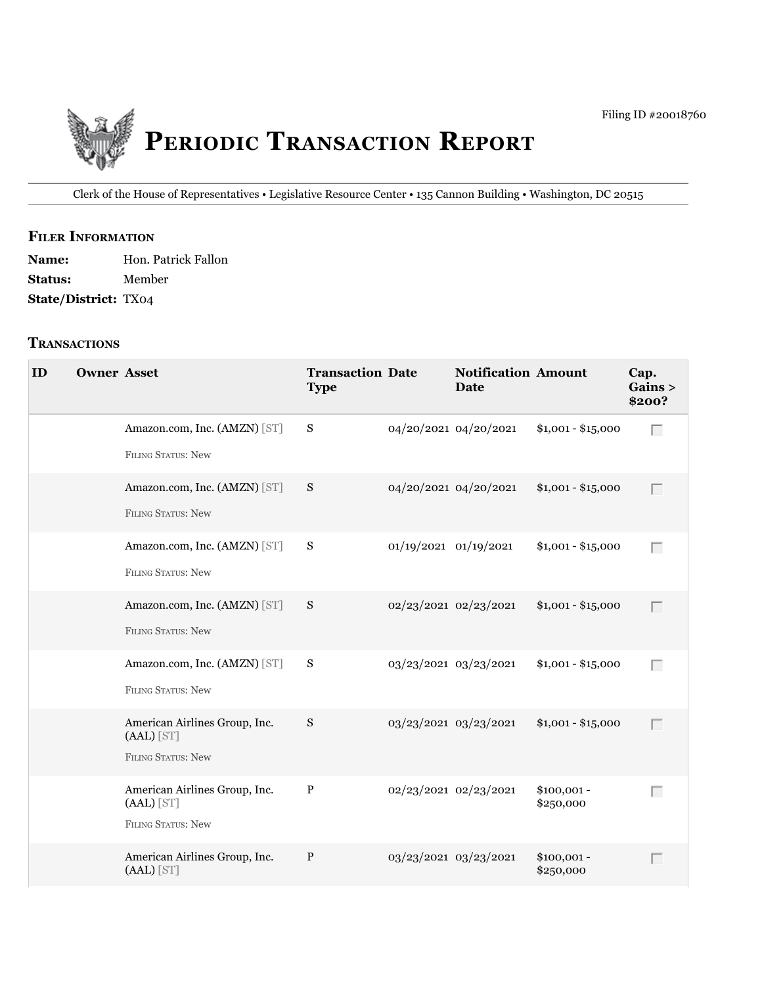

Clerk of the House of Representatives • legislative Resource Center • 135 Cannon Building • Washington, DC 20515

## **fIler INfOrmATION**

| <b>Name:</b>                | Hon. Patrick Fallon |
|-----------------------------|---------------------|
| <b>Status:</b>              | Member              |
| <b>State/District: TX04</b> |                     |

## **TrANSACTIONS**

| ID | <b>Owner Asset</b> |                                                                            | <b>Transaction Date</b><br><b>Type</b> |                       | <b>Notification Amount</b><br><b>Date</b> |                           | Cap.<br>Gains ><br>\$200? |
|----|--------------------|----------------------------------------------------------------------------|----------------------------------------|-----------------------|-------------------------------------------|---------------------------|---------------------------|
|    |                    | Amazon.com, Inc. (AMZN) [ST]<br>FILING STATUS: New                         | S                                      |                       | 04/20/2021 04/20/2021                     | $$1,001 - $15,000$        | Г                         |
|    |                    | Amazon.com, Inc. (AMZN) [ST]<br><b>FILING STATUS: New</b>                  | S                                      |                       | 04/20/2021 04/20/2021                     | $$1,001 - $15,000$        | $\Box$                    |
|    |                    | Amazon.com, Inc. (AMZN) [ST]<br>FILING STATUS: New                         | S                                      | 01/19/2021 01/19/2021 |                                           | $$1,001 - $15,000$        | Г                         |
|    |                    | Amazon.com, Inc. (AMZN) [ST]<br><b>FILING STATUS: New</b>                  | S                                      |                       | 02/23/2021 02/23/2021                     | $$1,001 - $15,000$        | Г                         |
|    |                    | Amazon.com, Inc. (AMZN) [ST]<br>FILING STATUS: New                         | S                                      |                       | 03/23/2021 03/23/2021                     | $$1,001 - $15,000$        | Г                         |
|    |                    | American Airlines Group, Inc.<br>$(AAL)$ [ST]<br><b>FILING STATUS: New</b> | S                                      |                       | 03/23/2021 03/23/2021                     | $$1,001 - $15,000$        | Г                         |
|    |                    | American Airlines Group, Inc.<br>$(AAL)$ [ST]<br><b>FILING STATUS: New</b> | P                                      |                       | 02/23/2021 02/23/2021                     | $$100,001 -$<br>\$250,000 | $\Box$                    |
|    |                    | American Airlines Group, Inc.<br>$(AAL)$ [ST]                              | $\mathbf{P}$                           |                       | 03/23/2021 03/23/2021                     | $$100,001 -$<br>\$250,000 |                           |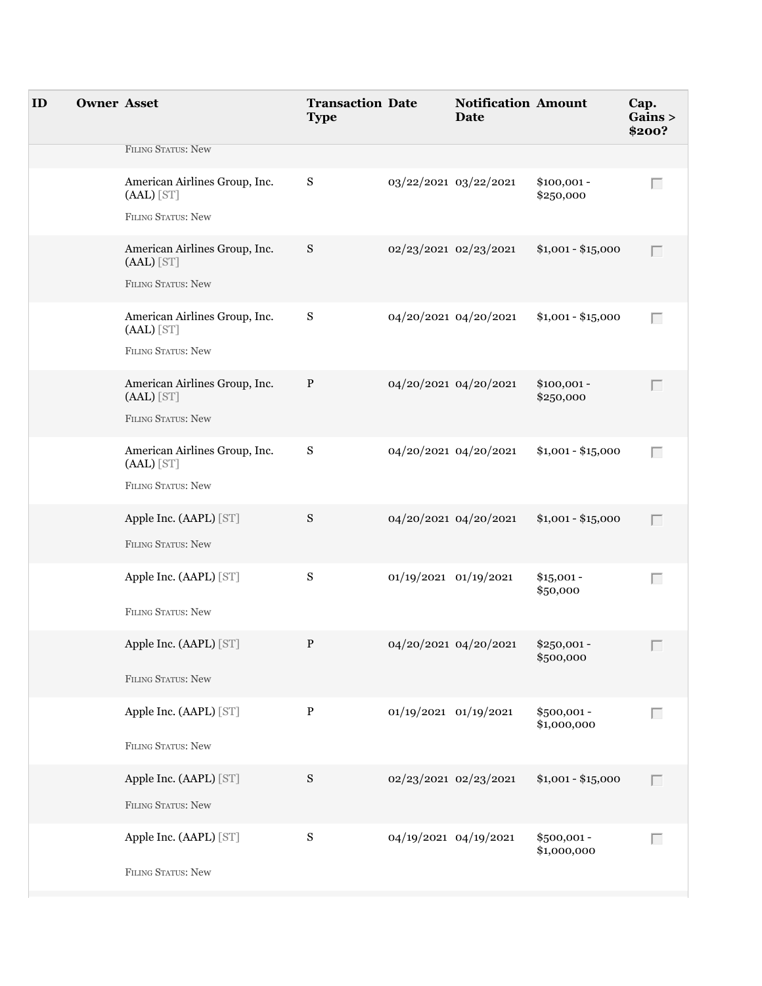| ID | <b>Owner Asset</b> |                                                                            | <b>Transaction Date</b><br><b>Type</b> |                       | <b>Notification Amount</b><br><b>Date</b> |                             | Cap.<br>Gains ><br>\$200? |
|----|--------------------|----------------------------------------------------------------------------|----------------------------------------|-----------------------|-------------------------------------------|-----------------------------|---------------------------|
|    |                    | <b>FILING STATUS: New</b>                                                  |                                        |                       |                                           |                             |                           |
|    |                    | American Airlines Group, Inc.<br>$(AAL)$ [ST]<br>FILING STATUS: New        | S                                      | 03/22/2021 03/22/2021 |                                           | $$100,001 -$<br>\$250,000   | Г                         |
|    |                    | American Airlines Group, Inc.<br>$(AAL)$ [ST]<br>FILING STATUS: New        | ${\bf S}$                              |                       | 02/23/2021 02/23/2021                     | $$1,001 - $15,000$          | $\Box$                    |
|    |                    | American Airlines Group, Inc.<br>$(AAL)$ [ST]<br><b>FILING STATUS: New</b> | S                                      |                       | 04/20/2021 04/20/2021                     | $$1,001 - $15,000$          | Г                         |
|    |                    | American Airlines Group, Inc.<br>$(AAL)$ [ST]<br>FILING STATUS: New        | $\, {\bf P}$                           |                       | 04/20/2021 04/20/2021                     | $$100,001 -$<br>\$250,000   | $\Box$                    |
|    |                    | American Airlines Group, Inc.<br>$(AAL)$ [ST]<br>FILING STATUS: New        | S                                      |                       | 04/20/2021 04/20/2021                     | $$1,001 - $15,000$          | Г                         |
|    |                    | Apple Inc. (AAPL) [ST]<br>FILING STATUS: New                               | S                                      |                       | 04/20/2021 04/20/2021                     | $$1,001 - $15,000$          | $\Box$                    |
|    |                    | Apple Inc. (AAPL) [ST]<br>FILING STATUS: New                               | ${\bf S}$                              | 01/19/2021 01/19/2021 |                                           | $$15,001 -$<br>\$50,000     | Г                         |
|    |                    | Apple Inc. (AAPL) [ST]<br>FILING STATUS: New                               | $\mathbf{P}$                           |                       | 04/20/2021 04/20/2021                     | $$250,001 -$<br>\$500,000   |                           |
|    |                    | Apple Inc. (AAPL) [ST]<br>FILING STATUS: New                               | $\, {\bf P}$                           | 01/19/2021 01/19/2021 |                                           | \$500,001 -<br>\$1,000,000  | Г                         |
|    |                    | Apple Inc. (AAPL) [ST]<br>FILING STATUS: New                               | ${\bf S}$                              |                       | 02/23/2021 02/23/2021                     | $$1,001 - $15,000$          | $\Box$                    |
|    |                    | Apple Inc. (AAPL) [ST]<br>FILING STATUS: New                               | ${\bf S}$                              | 04/19/2021 04/19/2021 |                                           | $$500,001 -$<br>\$1,000,000 | Г                         |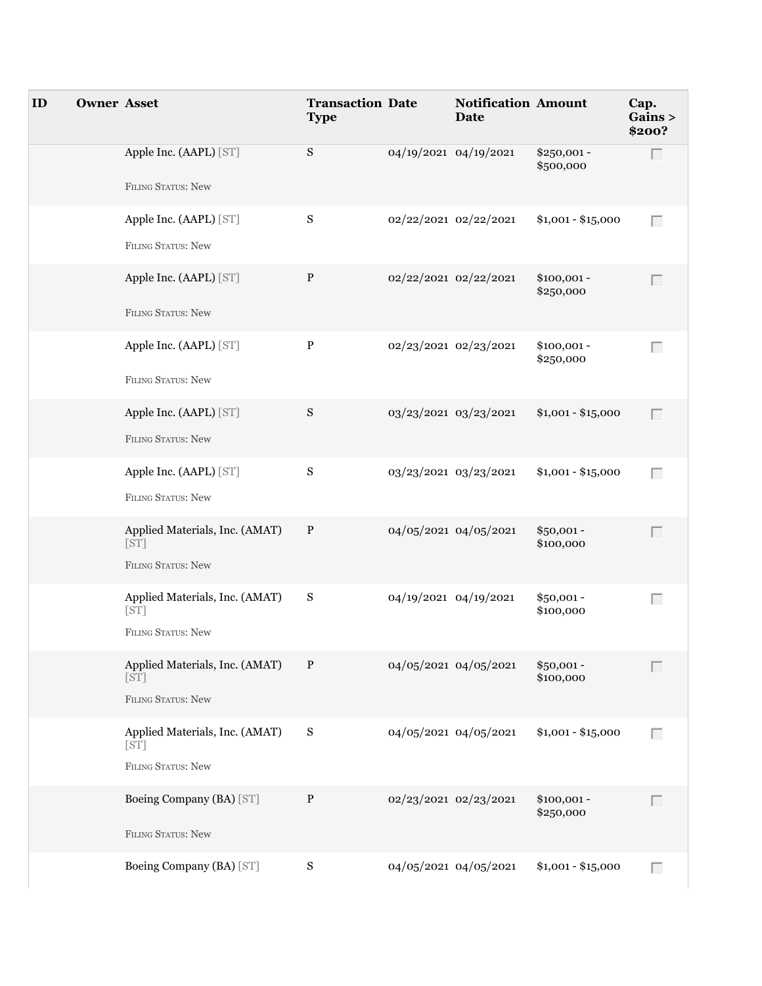| ${\bf ID}$ | <b>Owner Asset</b> |                                                              | <b>Transaction Date</b><br><b>Type</b> |                       | <b>Notification Amount</b><br>Date |                           | Cap.<br>Gains ><br>\$200? |
|------------|--------------------|--------------------------------------------------------------|----------------------------------------|-----------------------|------------------------------------|---------------------------|---------------------------|
|            |                    | Apple Inc. (AAPL) [ST]                                       | S                                      | 04/19/2021 04/19/2021 |                                    | $$250,001 -$<br>\$500,000 | П                         |
|            |                    | FILING STATUS: New                                           |                                        |                       |                                    |                           |                           |
|            |                    | Apple Inc. (AAPL) [ST]<br><b>FILING STATUS: New</b>          | ${\bf S}$                              |                       | 02/22/2021 02/22/2021              | $$1,001 - $15,000$        | Г                         |
|            |                    | Apple Inc. (AAPL) [ST]                                       | $\mathbf{P}$                           |                       | 02/22/2021 02/22/2021              | $$100,001 -$<br>\$250,000 | Г                         |
|            |                    | FILING STATUS: New                                           |                                        |                       |                                    |                           |                           |
|            |                    | Apple Inc. (AAPL) [ST]                                       | $\, {\bf P}$                           | 02/23/2021 02/23/2021 |                                    | $$100,001 -$<br>\$250,000 | Г                         |
|            |                    | FILING STATUS: New                                           |                                        |                       |                                    |                           |                           |
|            |                    | Apple Inc. (AAPL) [ST]                                       | ${\bf S}$                              |                       | 03/23/2021 03/23/2021              | $$1,001 - $15,000$        | Г                         |
|            |                    | FILING STATUS: New                                           |                                        |                       |                                    |                           |                           |
|            |                    | Apple Inc. (AAPL) [ST]                                       | ${\bf S}$                              |                       | 03/23/2021 03/23/2021              | $$1,001 - $15,000$        | Г                         |
|            |                    | FILING STATUS: New                                           |                                        |                       |                                    |                           |                           |
|            |                    | Applied Materials, Inc. (AMAT)<br>[ST]<br>FILING STATUS: New | P                                      |                       | 04/05/2021 04/05/2021              | $$50,001 -$<br>\$100,000  | Г                         |
|            |                    | Applied Materials, Inc. (AMAT)<br>[ST]                       | S                                      | 04/19/2021 04/19/2021 |                                    | $$50,001 -$<br>\$100,000  | Г                         |
|            |                    | FILING STATUS: New                                           |                                        |                       |                                    |                           |                           |
|            |                    | Applied Materials, Inc. (AMAT)<br>[ST]<br>FILING STATUS: New | $\mathbf{P}$                           |                       | 04/05/2021 04/05/2021              | $$50,001 -$<br>\$100,000  | $\Box$                    |
|            |                    | Applied Materials, Inc. (AMAT)<br>[ST]<br>FILING STATUS: New | S                                      |                       | 04/05/2021 04/05/2021              | $$1,001 - $15,000$        | Г                         |
|            |                    | Boeing Company (BA) [ST]<br>FILING STATUS: New               | $\mathbf{P}$                           | 02/23/2021 02/23/2021 |                                    | $$100,001 -$<br>\$250,000 | Г                         |
|            |                    | Boeing Company (BA) [ST]                                     | ${\bf S}$                              |                       | 04/05/2021 04/05/2021              | $$1,001 - $15,000$        | $\Box$                    |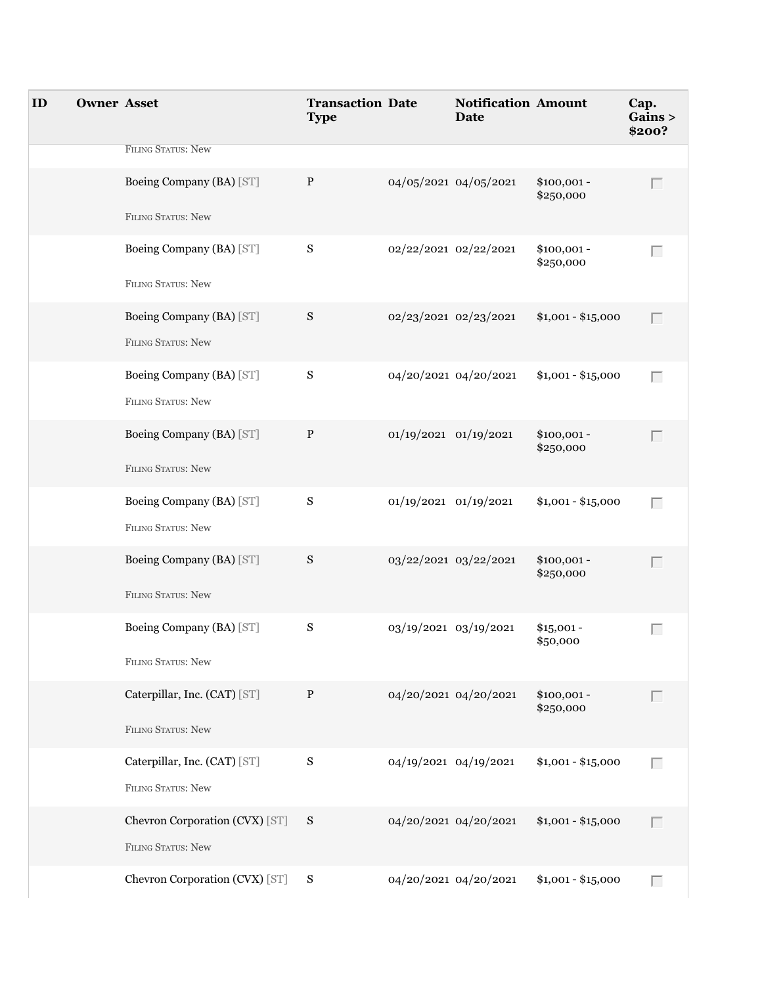| ID | <b>Owner Asset</b> |                                                | <b>Transaction Date</b><br><b>Type</b> |                       | <b>Notification Amount</b><br><b>Date</b> |                           | Cap.<br>Gains ><br>\$200? |
|----|--------------------|------------------------------------------------|----------------------------------------|-----------------------|-------------------------------------------|---------------------------|---------------------------|
|    |                    | <b>FILING STATUS: New</b>                      |                                        |                       |                                           |                           |                           |
|    |                    | Boeing Company (BA) [ST]                       | $\mathbf{P}$                           |                       | 04/05/2021 04/05/2021                     | $$100,001 -$<br>\$250,000 | Г                         |
|    |                    | FILING STATUS: New                             |                                        |                       |                                           |                           |                           |
|    |                    | Boeing Company (BA) [ST]                       | S                                      |                       | 02/22/2021 02/22/2021                     | $$100,001 -$<br>\$250,000 | $\Box$                    |
|    |                    | FILING STATUS: New                             |                                        |                       |                                           |                           |                           |
|    |                    | Boeing Company (BA) [ST]<br>FILING STATUS: New | S                                      |                       | 02/23/2021 02/23/2021                     | $$1,001 - $15,000$        | Г                         |
|    |                    |                                                |                                        |                       |                                           |                           |                           |
|    |                    | Boeing Company (BA) [ST]<br>FILING STATUS: New | ${\bf S}$                              |                       | 04/20/2021 04/20/2021                     | $$1,001 - $15,000$        | $\Box$                    |
|    |                    | Boeing Company (BA) [ST]                       | P                                      | 01/19/2021 01/19/2021 |                                           | $$100,001 -$<br>\$250,000 | $\Box$                    |
|    |                    | FILING STATUS: New                             |                                        |                       |                                           |                           |                           |
|    |                    | Boeing Company (BA) [ST]                       | ${\bf S}$                              | 01/19/2021 01/19/2021 |                                           | $$1,001 - $15,000$        | $\Box$                    |
|    |                    | FILING STATUS: New                             |                                        |                       |                                           |                           |                           |
|    |                    | Boeing Company (BA) [ST]                       | S                                      |                       | 03/22/2021 03/22/2021                     | $$100,001 -$<br>\$250,000 | $\Box$                    |
|    |                    | FILING STATUS: New                             |                                        |                       |                                           |                           |                           |
|    |                    | Boeing Company (BA) [ST]                       | S                                      |                       | 03/19/2021 03/19/2021                     | $$15,001 -$<br>\$50,000   | $\Box$                    |
|    |                    | FILING STATUS: New                             |                                        |                       |                                           |                           |                           |
|    |                    | Caterpillar, Inc. (CAT) [ST]                   | $\mathbf{P}$                           |                       | 04/20/2021 04/20/2021                     | $$100,001 -$<br>\$250,000 | $\Box$                    |
|    |                    | FILING STATUS: New                             |                                        |                       |                                           |                           |                           |
|    |                    | Caterpillar, Inc. (CAT) [ST]                   | ${\bf S}$                              |                       | 04/19/2021 04/19/2021                     | $$1,001 - $15,000$        | $\Box$                    |
|    |                    | FILING STATUS: New                             |                                        |                       |                                           |                           |                           |
|    |                    | Chevron Corporation (CVX) [ST] S               |                                        |                       | 04/20/2021 04/20/2021                     | $$1,001 - $15,000$        | $\Box$                    |
|    |                    | FILING STATUS: New                             |                                        |                       |                                           |                           |                           |
|    |                    | Chevron Corporation (CVX) [ST] S               |                                        |                       | 04/20/2021 04/20/2021                     | $$1,001 - $15,000$        | $\Box$                    |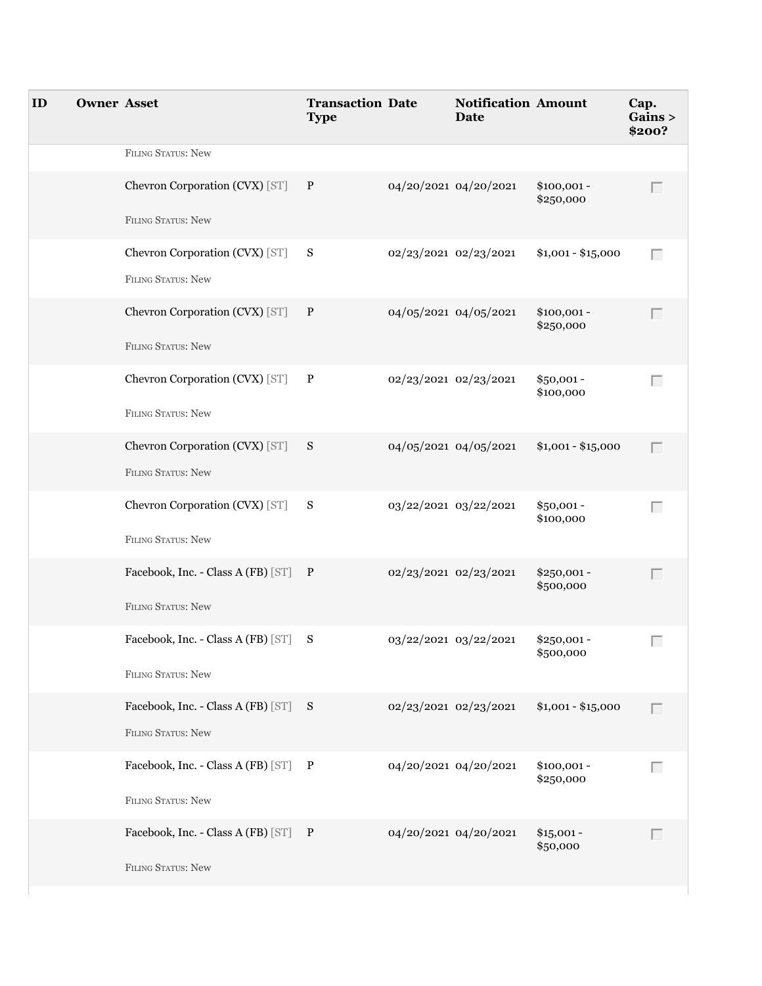| ID | <b>Owner Asset</b> |                                                            | <b>Transaction Date</b><br><b>Type</b> |                       | <b>Notification Amount</b><br><b>Date</b> |                           | Cap.<br>Gains ><br>\$200? |
|----|--------------------|------------------------------------------------------------|----------------------------------------|-----------------------|-------------------------------------------|---------------------------|---------------------------|
|    |                    | FILING STATUS: New                                         |                                        |                       |                                           |                           |                           |
|    |                    | Chevron Corporation (CVX) [ST] P                           |                                        |                       | 04/20/2021 04/20/2021                     | $$100,001 -$<br>\$250,000 |                           |
|    |                    | FILING STATUS: New                                         |                                        |                       |                                           |                           |                           |
|    |                    | Chevron Corporation (CVX) [ST]<br>FILING STATUS: New       | S                                      | 02/23/2021 02/23/2021 |                                           | $$1,001 - $15,000$        | Г                         |
|    |                    | Chevron Corporation (CVX) [ST]                             | $\mathbf{P}$                           |                       | 04/05/2021 04/05/2021                     | $$100,001 -$<br>\$250,000 | Г                         |
|    |                    | FILING STATUS: New                                         |                                        |                       |                                           |                           |                           |
|    |                    | Chevron Corporation (CVX) [ST] P                           |                                        |                       | 02/23/2021 02/23/2021                     | $$50,001 -$<br>\$100,000  | Г                         |
|    |                    | FILING STATUS: New                                         |                                        |                       |                                           |                           |                           |
|    |                    | Chevron Corporation (CVX) [ST]<br>FILING STATUS: New       | S                                      |                       | 04/05/2021 04/05/2021                     | $$1,001 - $15,000$        | Г                         |
|    |                    | Chevron Corporation (CVX) [ST]                             | S                                      | 03/22/2021 03/22/2021 |                                           | $$50,001 -$<br>\$100,000  | Г                         |
|    |                    | FILING STATUS: New                                         |                                        |                       |                                           |                           |                           |
|    |                    | Facebook, Inc. - Class A (FB) [ST] P<br>FILING STATUS: New |                                        |                       | 02/23/2021 02/23/2021                     | \$250,001 -<br>\$500,000  | Г                         |
|    |                    |                                                            |                                        |                       |                                           |                           |                           |
|    |                    | Facebook, Inc. - Class A (FB) [ST] S                       |                                        |                       | 03/22/2021 03/22/2021                     | $$250,001 -$<br>\$500,000 | $\Box$                    |
|    |                    | FILING STATUS: New                                         |                                        |                       |                                           |                           |                           |
|    |                    | Facebook, Inc. - Class A (FB) [ST] S<br>FILING STATUS: New |                                        |                       | 02/23/2021 02/23/2021                     | $$1,001 - $15,000$        |                           |
|    |                    | Facebook, Inc. - Class A (FB) [ST] P                       |                                        |                       | 04/20/2021 04/20/2021                     | $$100,001 -$<br>\$250,000 | Г                         |
|    |                    | <b>FILING STATUS: New</b>                                  |                                        |                       |                                           |                           |                           |
|    |                    | Facebook, Inc. - Class A (FB) [ST] P                       |                                        |                       | 04/20/2021 04/20/2021                     | $$15,001 -$<br>\$50,000   | Г                         |
|    |                    | FILING STATUS: New                                         |                                        |                       |                                           |                           |                           |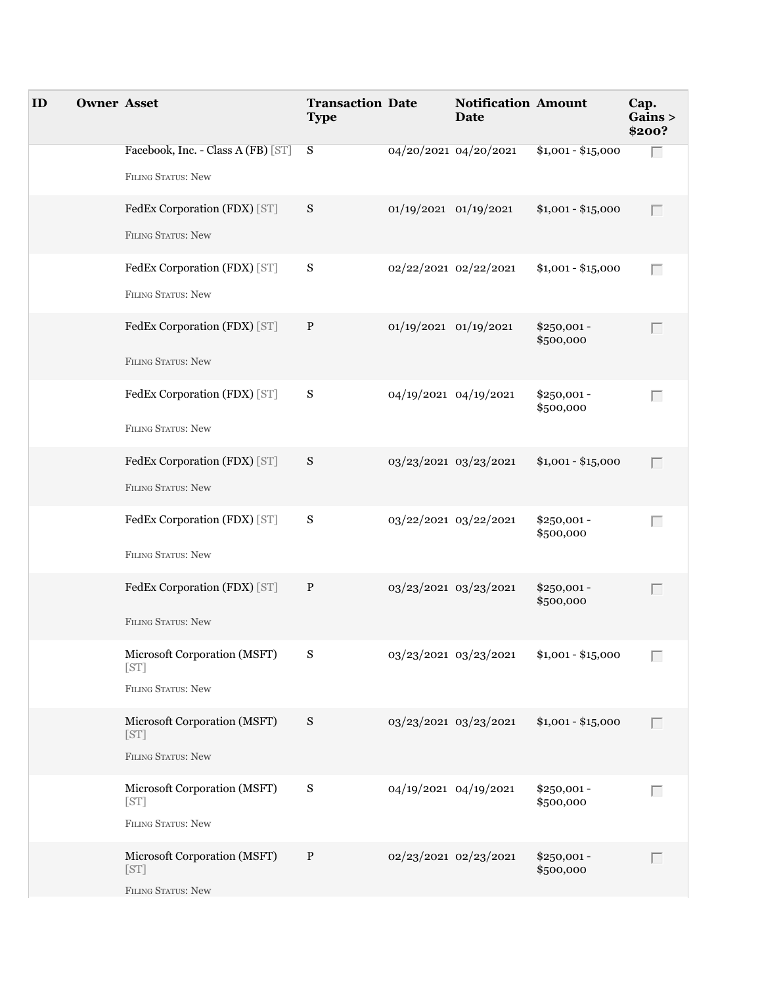| ID | <b>Owner Asset</b> |                                                            | <b>Transaction Date</b><br><b>Type</b> |                       | <b>Notification Amount</b><br><b>Date</b> |                           | Cap.<br>Gains ><br>\$200? |
|----|--------------------|------------------------------------------------------------|----------------------------------------|-----------------------|-------------------------------------------|---------------------------|---------------------------|
|    |                    | Facebook, Inc. - Class A (FB) [ST] S<br>FILING STATUS: New |                                        |                       | 04/20/2021 04/20/2021                     | $$1,001 - $15,000$        | П                         |
|    |                    | FedEx Corporation (FDX) [ST]<br>FILING STATUS: New         | S                                      | 01/19/2021 01/19/2021 |                                           | $$1,001 - $15,000$        |                           |
|    |                    | FedEx Corporation (FDX) [ST]<br>FILING STATUS: New         | S                                      |                       | 02/22/2021 02/22/2021                     | $$1,001 - $15,000$        | Г                         |
|    |                    | FedEx Corporation (FDX) [ST]<br>FILING STATUS: New         | $\mathbf{P}$                           | 01/19/2021 01/19/2021 |                                           | $$250,001 -$<br>\$500,000 | Г                         |
|    |                    | FedEx Corporation (FDX) [ST]<br>FILING STATUS: New         | S                                      | 04/19/2021 04/19/2021 |                                           | $$250,001 -$<br>\$500,000 | Г                         |
|    |                    | FedEx Corporation (FDX) [ST]<br>FILING STATUS: New         | S                                      |                       | 03/23/2021 03/23/2021                     | $$1,001 - $15,000$        | Г                         |
|    |                    | FedEx Corporation (FDX) [ST]<br>FILING STATUS: New         | S                                      |                       | 03/22/2021 03/22/2021                     | \$250,001 -<br>\$500,000  | Г                         |
|    |                    | FedEx Corporation (FDX) [ST]<br>FILING STATUS: New         | $\mathbf{P}$                           |                       | 03/23/2021 03/23/2021                     | \$250,001 -<br>\$500,000  | Г                         |
|    |                    | Microsoft Corporation (MSFT)<br>[ST]<br>FILING STATUS: New | S                                      |                       | 03/23/2021 03/23/2021                     | $$1,001 - $15,000$        |                           |
|    |                    | Microsoft Corporation (MSFT)<br>[ST]<br>FILING STATUS: New | S                                      |                       | 03/23/2021 03/23/2021                     | $$1,001 - $15,000$        |                           |
|    |                    | Microsoft Corporation (MSFT)<br>[ST]<br>FILING STATUS: New | S                                      | 04/19/2021 04/19/2021 |                                           | $$250,001 -$<br>\$500,000 | Г                         |
|    |                    | Microsoft Corporation (MSFT)<br>[ST]<br>FILING STATUS: New | P                                      |                       | 02/23/2021 02/23/2021                     | \$250,001 -<br>\$500,000  | Г                         |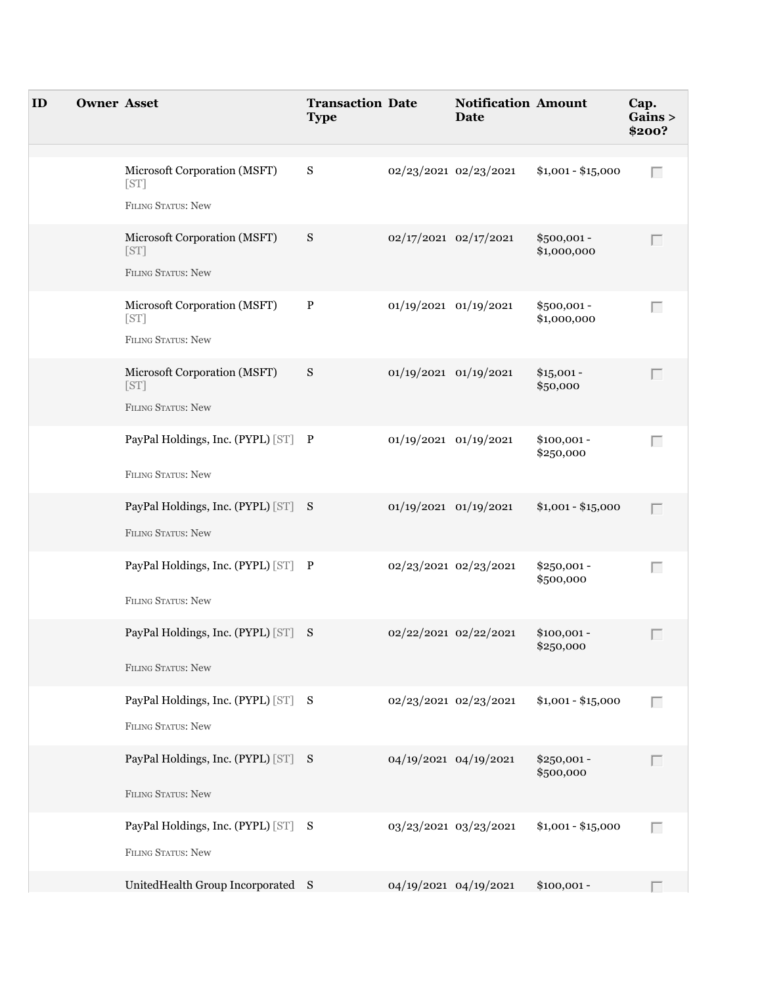| ID | <b>Owner Asset</b> |                                                   | <b>Transaction Date</b><br><b>Type</b> | <b>Notification Amount</b><br>Date |                             | Cap.<br>Gains ><br>\$200? |
|----|--------------------|---------------------------------------------------|----------------------------------------|------------------------------------|-----------------------------|---------------------------|
|    |                    | Microsoft Corporation (MSFT)<br>[ST]              | S                                      | 02/23/2021 02/23/2021              | $$1,001 - $15,000$          | Г                         |
|    |                    | FILING STATUS: New                                |                                        |                                    |                             |                           |
|    |                    | Microsoft Corporation (MSFT)<br>[ST]              | S                                      | 02/17/2021 02/17/2021              | $$500,001 -$<br>\$1,000,000 | Г                         |
|    |                    | FILING STATUS: New                                |                                        |                                    |                             |                           |
|    |                    | Microsoft Corporation (MSFT)<br>$\left[ST\right]$ | $\mathbf{P}$                           | 01/19/2021 01/19/2021              | \$500,001-<br>\$1,000,000   | Г                         |
|    |                    | FILING STATUS: New                                |                                        |                                    |                             |                           |
|    |                    | Microsoft Corporation (MSFT)<br>[ST]              | S                                      | 01/19/2021 01/19/2021              | $$15,001 -$<br>\$50,000     | Г                         |
|    |                    | FILING STATUS: New                                |                                        |                                    |                             |                           |
|    |                    | PayPal Holdings, Inc. (PYPL) [ST] P               |                                        | 01/19/2021 01/19/2021              | $$100,001 -$<br>\$250,000   | Г                         |
|    |                    | FILING STATUS: New                                |                                        |                                    |                             |                           |
|    |                    | PayPal Holdings, Inc. (PYPL) [ST] S               |                                        | 01/19/2021 01/19/2021              | $$1,001 - $15,000$          | Г                         |
|    |                    | FILING STATUS: New                                |                                        |                                    |                             |                           |
|    |                    | PayPal Holdings, Inc. (PYPL) [ST] P               |                                        | 02/23/2021 02/23/2021              | $$250,001 -$<br>\$500,000   | Г                         |
|    |                    | <b>FILING STATUS: New</b>                         |                                        |                                    |                             |                           |
|    |                    | PayPal Holdings, Inc. (PYPL) [ST] S               |                                        | 02/22/2021 02/22/2021              | $$100,001 -$<br>\$250,000   | Г                         |
|    |                    | FILING STATUS: New                                |                                        |                                    |                             |                           |
|    |                    | PayPal Holdings, Inc. (PYPL) [ST] S               |                                        | 02/23/2021 02/23/2021              | $$1,001 - $15,000$          | Г                         |
|    |                    | FILING STATUS: New                                |                                        |                                    |                             |                           |
|    |                    | PayPal Holdings, Inc. (PYPL) [ST] S               |                                        | 04/19/2021 04/19/2021              | $$250,001 -$<br>\$500,000   | Г                         |
|    |                    | FILING STATUS: New                                |                                        |                                    |                             |                           |
|    |                    | PayPal Holdings, Inc. (PYPL) [ST] S               |                                        | 03/23/2021 03/23/2021              | $$1,001 - $15,000$          | Г                         |
|    |                    | FILING STATUS: New                                |                                        |                                    |                             |                           |
|    |                    | UnitedHealth Group Incorporated S                 |                                        | 04/19/2021 04/19/2021              | $$100,001 -$                |                           |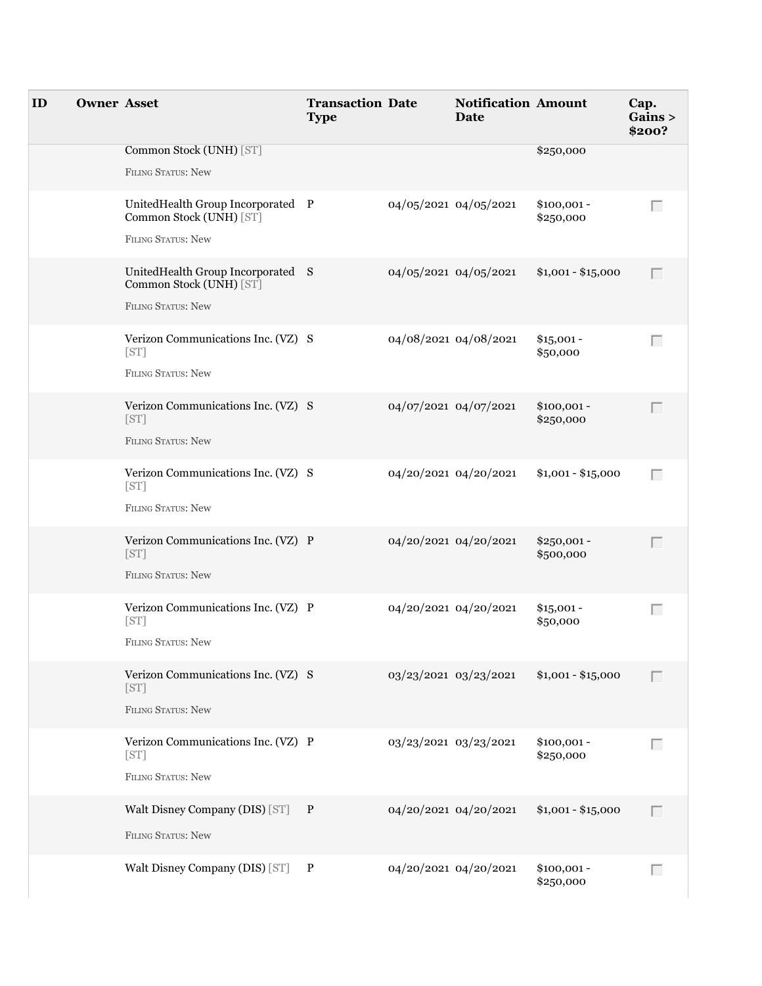| ID | <b>Owner Asset</b> |                                                              | <b>Transaction Date</b><br><b>Type</b> |                       | <b>Notification Amount</b><br>Date |                           | Cap.<br>Gains ><br>\$200? |
|----|--------------------|--------------------------------------------------------------|----------------------------------------|-----------------------|------------------------------------|---------------------------|---------------------------|
|    |                    | Common Stock (UNH) [ST]                                      |                                        |                       |                                    | \$250,000                 |                           |
|    |                    | <b>FILING STATUS: New</b>                                    |                                        |                       |                                    |                           |                           |
|    |                    | UnitedHealth Group Incorporated P<br>Common Stock (UNH) [ST] |                                        |                       | 04/05/2021 04/05/2021              | $$100,001 -$<br>\$250,000 | Г                         |
|    |                    | <b>FILING STATUS: New</b>                                    |                                        |                       |                                    |                           |                           |
|    |                    | UnitedHealth Group Incorporated S<br>Common Stock (UNH) [ST] |                                        |                       | 04/05/2021 04/05/2021              | $$1,001 - $15,000$        | Г                         |
|    |                    | <b>FILING STATUS: New</b>                                    |                                        |                       |                                    |                           |                           |
|    |                    | Verizon Communications Inc. (VZ) S<br>[ST]                   |                                        |                       | 04/08/2021 04/08/2021              | $$15,001 -$<br>\$50,000   | Г                         |
|    |                    | <b>FILING STATUS: New</b>                                    |                                        |                       |                                    |                           |                           |
|    |                    | Verizon Communications Inc. (VZ) S<br>[ST]                   |                                        | 04/07/2021 04/07/2021 |                                    | $$100,001 -$<br>\$250,000 | Г                         |
|    |                    | <b>FILING STATUS: New</b>                                    |                                        |                       |                                    |                           |                           |
|    |                    | Verizon Communications Inc. (VZ) S<br>[ST]                   |                                        |                       | 04/20/2021 04/20/2021              | $$1,001 - $15,000$        | Г                         |
|    |                    | <b>FILING STATUS: New</b>                                    |                                        |                       |                                    |                           |                           |
|    |                    | Verizon Communications Inc. (VZ) P<br>[ST]                   |                                        | 04/20/2021 04/20/2021 |                                    | $$250,001 -$<br>\$500,000 | Г                         |
|    |                    | <b>FILING STATUS: New</b>                                    |                                        |                       |                                    |                           |                           |
|    |                    | Verizon Communications Inc. (VZ) P<br>[ST]                   |                                        |                       | 04/20/2021 04/20/2021              | $$15,001 -$<br>\$50,000   | Г                         |
|    |                    | <b>FILING STATUS: New</b>                                    |                                        |                       |                                    |                           |                           |
|    |                    | Verizon Communications Inc. (VZ) S<br>[ST]                   |                                        |                       | 03/23/2021 03/23/2021              | $$1,001 - $15,000$        |                           |
|    |                    | FILING STATUS: New                                           |                                        |                       |                                    |                           |                           |
|    |                    | Verizon Communications Inc. (VZ) P<br>[ST]                   |                                        | 03/23/2021 03/23/2021 |                                    | $$100,001 -$<br>\$250,000 | Г                         |
|    |                    | <b>FILING STATUS: New</b>                                    |                                        |                       |                                    |                           |                           |
|    |                    | Walt Disney Company (DIS) [ST] P                             |                                        |                       | 04/20/2021 04/20/2021              | $$1,001 - $15,000$        |                           |
|    |                    | <b>FILING STATUS: New</b>                                    |                                        |                       |                                    |                           |                           |
|    |                    | Walt Disney Company (DIS) [ST] P                             |                                        |                       | 04/20/2021 04/20/2021              | $$100,001 -$<br>\$250,000 | Г                         |